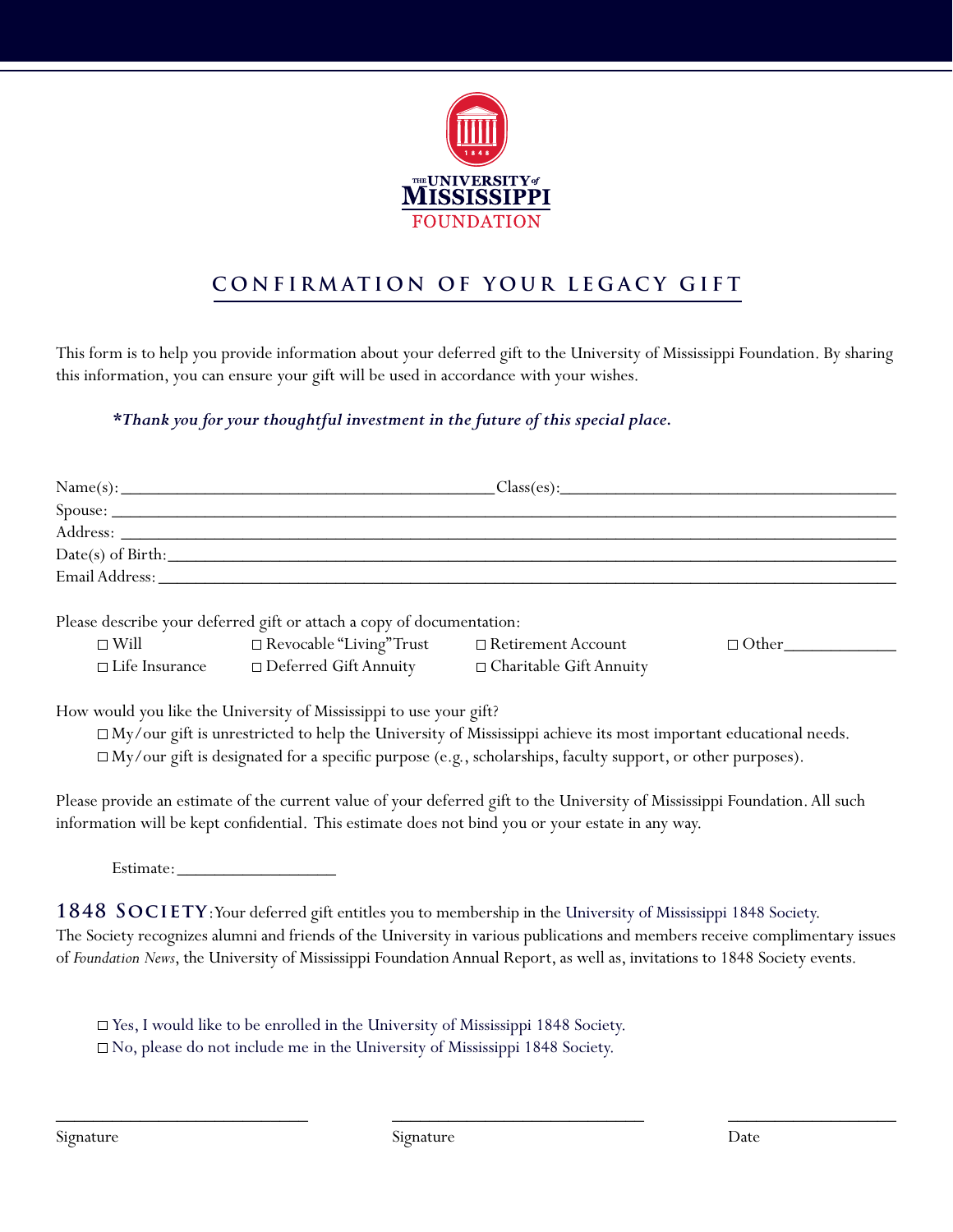

## **CONFIRMATION OF YOUR LEGACY GIFT**

This form is to help you provide information about your deferred gift to the University of Mississippi Foundation. By sharing this information, you can ensure your gift will be used in accordance with your wishes.

## *\*Thank you for your thoughtful investment in the future of this special place.*

|                                                                                                                                                                                                                                                                                                                                                                                                                                                                                 |                                                                                   |                      | $Name(s):$ $Class(es):$ |  |  |  |  |
|---------------------------------------------------------------------------------------------------------------------------------------------------------------------------------------------------------------------------------------------------------------------------------------------------------------------------------------------------------------------------------------------------------------------------------------------------------------------------------|-----------------------------------------------------------------------------------|----------------------|-------------------------|--|--|--|--|
|                                                                                                                                                                                                                                                                                                                                                                                                                                                                                 |                                                                                   |                      |                         |  |  |  |  |
|                                                                                                                                                                                                                                                                                                                                                                                                                                                                                 |                                                                                   |                      |                         |  |  |  |  |
|                                                                                                                                                                                                                                                                                                                                                                                                                                                                                 |                                                                                   |                      |                         |  |  |  |  |
|                                                                                                                                                                                                                                                                                                                                                                                                                                                                                 |                                                                                   |                      |                         |  |  |  |  |
| Please describe your deferred gift or attach a copy of documentation:                                                                                                                                                                                                                                                                                                                                                                                                           |                                                                                   |                      |                         |  |  |  |  |
|                                                                                                                                                                                                                                                                                                                                                                                                                                                                                 | $\square$ Will $\square$ Revocable "Living" Trust                                 | □ Retirement Account | $\Box$ Other            |  |  |  |  |
|                                                                                                                                                                                                                                                                                                                                                                                                                                                                                 | $\Box$ Life Insurance $\Box$ Deferred Gift Annuity $\Box$ Charitable Gift Annuity |                      |                         |  |  |  |  |
| $\Box$ My/our gift is unrestricted to help the University of Mississippi achieve its most important educational needs.<br>$\Box$ My/our gift is designated for a specific purpose (e.g., scholarships, faculty support, or other purposes).<br>Please provide an estimate of the current value of your deferred gift to the University of Mississippi Foundation. All such<br>information will be kept confidential. This estimate does not bind you or your estate in any way. |                                                                                   |                      |                         |  |  |  |  |
|                                                                                                                                                                                                                                                                                                                                                                                                                                                                                 |                                                                                   |                      |                         |  |  |  |  |
| 1848 SOCIETY: Your deferred gift entitles you to membership in the University of Mississippi 1848 Society.<br>The Society recognizes alumni and friends of the University in various publications and members receive complimentary issues<br>of Foundation News, the University of Mississippi Foundation Annual Report, as well as, invitations to 1848 Society events.                                                                                                       |                                                                                   |                      |                         |  |  |  |  |

Yes, I would like to be enrolled in the University of Mississippi 1848 Society. No, please do not include me in the University of Mississippi 1848 Society.

\_\_\_\_\_\_\_\_\_\_\_\_\_\_\_\_\_\_\_\_\_\_\_\_\_\_\_ \_\_\_\_\_\_\_\_\_\_\_\_\_\_\_\_\_\_\_\_\_\_\_\_\_\_\_ \_\_\_\_\_\_\_\_\_\_\_\_\_\_\_\_\_\_